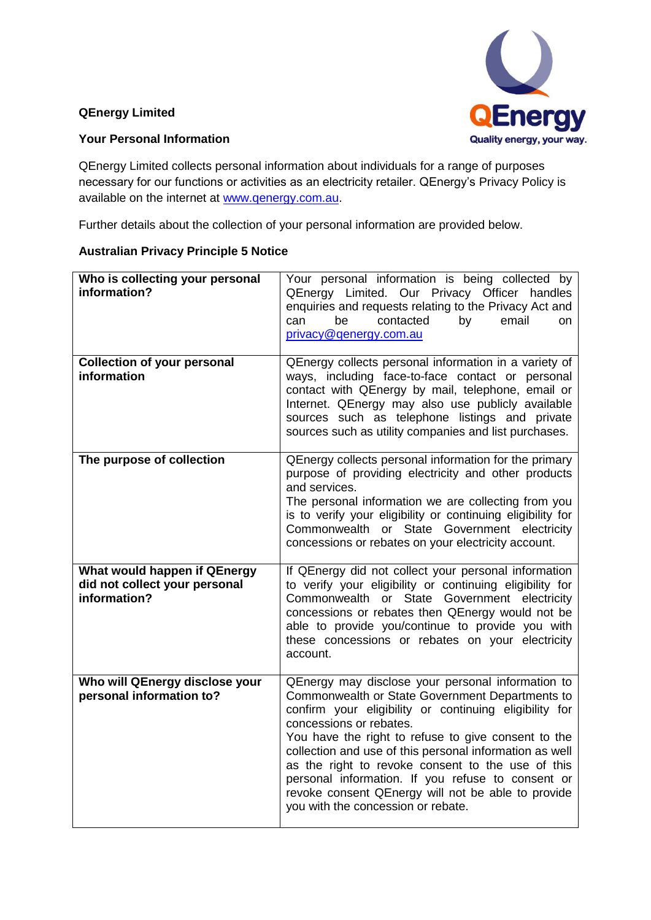## **QEnergy Limited**



**QEnergy** Quality energy, your way.

QEnergy Limited collects personal information about individuals for a range of purposes necessary for our functions or activities as an electricity retailer. QEnergy's Privacy Policy is available on the internet at [www.qenergy.com.au.](http://www.qenergy.com.au/)

Further details about the collection of your personal information are provided below.

## **Australian Privacy Principle 5 Notice**

| Who is collecting your personal<br>information?                               | Your personal information is being collected by<br>QEnergy Limited. Our Privacy Officer handles<br>enquiries and requests relating to the Privacy Act and<br>be<br>contacted<br>can<br>by<br>email<br>on<br>privacy@genergy.com.au                                                                                                                                                                                                                                                                                |
|-------------------------------------------------------------------------------|-------------------------------------------------------------------------------------------------------------------------------------------------------------------------------------------------------------------------------------------------------------------------------------------------------------------------------------------------------------------------------------------------------------------------------------------------------------------------------------------------------------------|
| <b>Collection of your personal</b><br>information                             | QEnergy collects personal information in a variety of<br>ways, including face-to-face contact or personal<br>contact with QEnergy by mail, telephone, email or<br>Internet. QEnergy may also use publicly available<br>sources such as telephone listings and private<br>sources such as utility companies and list purchases.                                                                                                                                                                                    |
| The purpose of collection                                                     | QEnergy collects personal information for the primary<br>purpose of providing electricity and other products<br>and services.<br>The personal information we are collecting from you<br>is to verify your eligibility or continuing eligibility for<br>Commonwealth or State Government electricity<br>concessions or rebates on your electricity account.                                                                                                                                                        |
| What would happen if QEnergy<br>did not collect your personal<br>information? | If QEnergy did not collect your personal information<br>to verify your eligibility or continuing eligibility for<br>Commonwealth or State Government electricity<br>concessions or rebates then QEnergy would not be<br>able to provide you/continue to provide you with<br>these concessions or rebates on your electricity<br>account.                                                                                                                                                                          |
| Who will QEnergy disclose your<br>personal information to?                    | QEnergy may disclose your personal information to<br>Commonwealth or State Government Departments to<br>confirm your eligibility or continuing eligibility for<br>concessions or rebates.<br>You have the right to refuse to give consent to the<br>collection and use of this personal information as well<br>as the right to revoke consent to the use of this<br>personal information. If you refuse to consent or<br>revoke consent QEnergy will not be able to provide<br>you with the concession or rebate. |